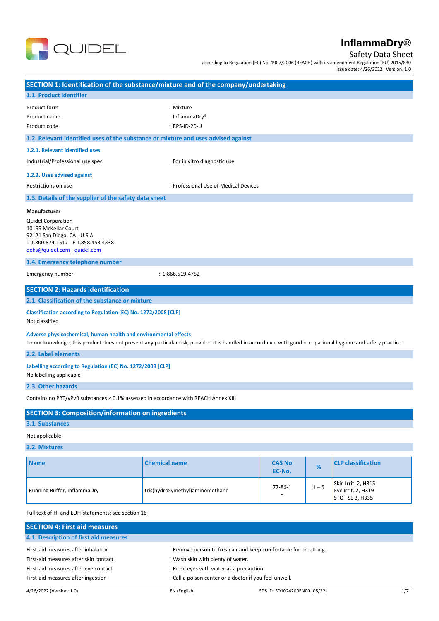

# Safety Data Sheet

according to Regulation (EC) No. 1907/2006 (REACH) with its amendment Regulation (EU) 2015/830 Issue date: 4/26/2022 Version: 1.0

| SECTION 1: Identification of the substance/mixture and of the company/undertaking                                                                                                                                                                                          |                                                                                                                                                               |                         |         |                                                              |
|----------------------------------------------------------------------------------------------------------------------------------------------------------------------------------------------------------------------------------------------------------------------------|---------------------------------------------------------------------------------------------------------------------------------------------------------------|-------------------------|---------|--------------------------------------------------------------|
| 1.1. Product identifier                                                                                                                                                                                                                                                    |                                                                                                                                                               |                         |         |                                                              |
| Product form<br>Product name<br>Product code                                                                                                                                                                                                                               | : Mixture<br>: InflammaDry <sup>®</sup><br>: RPS-ID-20-U                                                                                                      |                         |         |                                                              |
| 1.2. Relevant identified uses of the substance or mixture and uses advised against                                                                                                                                                                                         |                                                                                                                                                               |                         |         |                                                              |
| 1.2.1. Relevant identified uses                                                                                                                                                                                                                                            |                                                                                                                                                               |                         |         |                                                              |
| Industrial/Professional use spec                                                                                                                                                                                                                                           | : For in vitro diagnostic use                                                                                                                                 |                         |         |                                                              |
| 1.2.2. Uses advised against                                                                                                                                                                                                                                                |                                                                                                                                                               |                         |         |                                                              |
| Restrictions on use                                                                                                                                                                                                                                                        | : Professional Use of Medical Devices                                                                                                                         |                         |         |                                                              |
| 1.3. Details of the supplier of the safety data sheet                                                                                                                                                                                                                      |                                                                                                                                                               |                         |         |                                                              |
| <b>Manufacturer</b><br><b>Quidel Corporation</b><br>10165 McKellar Court<br>92121 San Diego, CA - U.S.A<br>T 1.800.874.1517 - F 1.858.453.4338<br>gehs@quidel.com - quidel.com<br>1.4. Emergency telephone number                                                          |                                                                                                                                                               |                         |         |                                                              |
| Emergency number                                                                                                                                                                                                                                                           | : 1.866.519.4752                                                                                                                                              |                         |         |                                                              |
| <b>SECTION 2: Hazards identification</b><br>2.1. Classification of the substance or mixture<br>Classification according to Regulation (EC) No. 1272/2008 [CLP]<br>Not classified<br>Adverse physicochemical, human health and environmental effects<br>2.2. Label elements | To our knowledge, this product does not present any particular risk, provided it is handled in accordance with good occupational hygiene and safety practice. |                         |         |                                                              |
| Labelling according to Regulation (EC) No. 1272/2008 [CLP]<br>No labelling applicable<br>2.3. Other hazards                                                                                                                                                                |                                                                                                                                                               |                         |         |                                                              |
| Contains no PBT/vPvB substances $\geq$ 0.1% assessed in accordance with REACH Annex XIII                                                                                                                                                                                   |                                                                                                                                                               |                         |         |                                                              |
| <b>SECTION 3: Composition/information on ingredients</b><br>3.1. Substances                                                                                                                                                                                                |                                                                                                                                                               |                         |         |                                                              |
| Not applicable                                                                                                                                                                                                                                                             |                                                                                                                                                               |                         |         |                                                              |
| 3.2. Mixtures                                                                                                                                                                                                                                                              |                                                                                                                                                               |                         |         |                                                              |
| <b>Name</b>                                                                                                                                                                                                                                                                | <b>Chemical name</b>                                                                                                                                          | <b>CAS No</b><br>EC-No. | $\%$    | <b>CLP classification</b>                                    |
| Running Buffer, InflammaDry                                                                                                                                                                                                                                                | tris(hydroxymethyl)aminomethane                                                                                                                               | 77-86-1                 | $1 - 5$ | Skin Irrit. 2, H315<br>Eye Irrit. 2, H319<br>STOT SE 3, H335 |
| Full text of H- and EUH-statements: see section 16                                                                                                                                                                                                                         |                                                                                                                                                               |                         |         |                                                              |
| <b>SECTION 4: First aid measures</b>                                                                                                                                                                                                                                       |                                                                                                                                                               |                         |         |                                                              |

| 4.1. Description of first aid measures |                                                        |                                                                  |     |
|----------------------------------------|--------------------------------------------------------|------------------------------------------------------------------|-----|
| First-aid measures after inhalation    |                                                        | : Remove person to fresh air and keep comfortable for breathing. |     |
| First-aid measures after skin contact  | : Wash skin with plenty of water.                      |                                                                  |     |
| First-aid measures after eye contact   | : Rinse eyes with water as a precaution.               |                                                                  |     |
| First-aid measures after ingestion     | : Call a poison center or a doctor if you feel unwell. |                                                                  |     |
| 4/26/2022 (Version: 1.0)               | EN (English)                                           | SDS ID: SD1024200EN00 (05/22)                                    | 1/7 |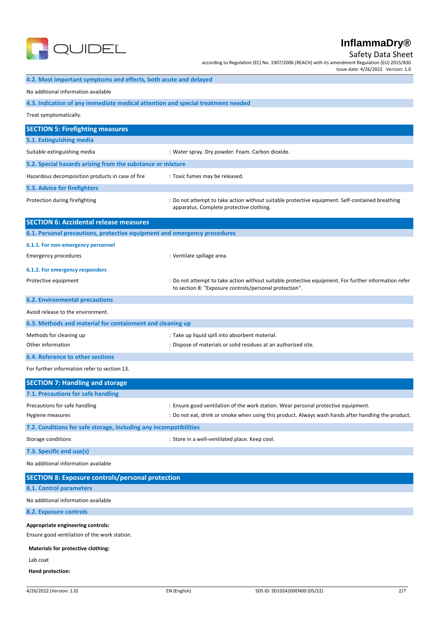

Safety Data Sheet

according to Regulation (EC) No. 1907/2006 (REACH) with its amendment Regulation (EU) 2015/830 Issue date: 4/26/2022 Version: 1.0

# **4.2. Most important symptoms and effects, both acute and delayed** No additional information available **4.3. Indication of any immediate medical attention and special treatment needed** Treat symptomatically. **SECTION 5: Firefighting measures 5.1. Extinguishing media** Suitable extinguishing media : Water spray. Dry powder. Foam. Carbon dioxide. **5.2. Special hazards arising from the substance or mixture** Hazardous decomposition products in case of fire : Toxic fumes may be released. **5.3. Advice for firefighters** Protection during firefighting states and the state of the not attempt to take action without suitable protective equipment. Self-contained breathing apparatus. Complete protective clothing. **SECTION 6: Accidental release measures 6.1. Personal precautions, protective equipment and emergency procedures 6.1.1. For non-emergency personnel** Emergency procedures in the settle spillage area. **6.1.2. For emergency responders** Protective equipment **interprotective equipment** information refer<br>
: Do not attempt to take action without suitable protective equipment. For further information refer to section 8: "Exposure controls/personal protection". **6.2. Environmental precautions** Avoid release to the environment. **6.3. Methods and material for containment and cleaning up** Methods for cleaning up example and the set of the cleaning up into absorbent material. Other information in the state of materials or solid residues at an authorized site. **6.4. Reference to other sections** For further information refer to section 13. **SECTION 7: Handling and storage 7.1. Precautions for safe handling** Precautions for safe handling state in the station of the work station. Wear personal protective equipment. Hygiene measures : Do not eat, drink or smoke when using this product. Always wash hands after handling the product. **7.2. Conditions for safe storage, including any incompatibilities** Storage conditions **Storage conditions** : Store in a well-ventilated place. Keep cool. **7.3. Specific end use(s)** No additional information available **SECTION 8: Exposure controls/personal protection 8.1. Control parameters** No additional information available **8.2. Exposure controls Appropriate engineering controls:** Ensure good ventilation of the work station. **Materials for protective clothing:** Lab coat **Hand protection:**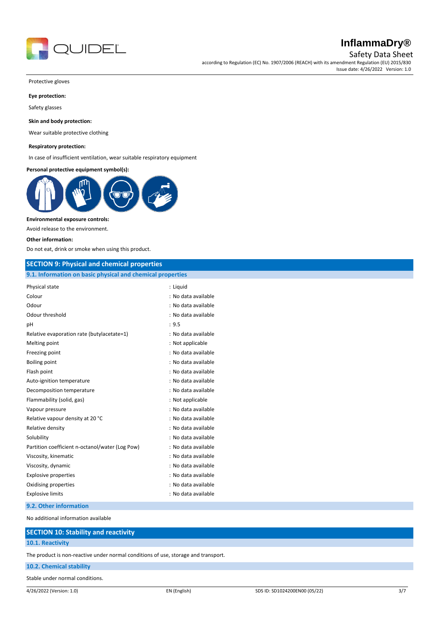

Safety Data Sheet

according to Regulation (EC) No. 1907/2006 (REACH) with its amendment Regulation (EU) 2015/830 Issue date: 4/26/2022 Version: 1.0

Protective gloves

### **Eye protection:**

Safety glasses

#### **Skin and body protection:**

Wear suitable protective clothing

#### **Respiratory protection:**

In case of insufficient ventilation, wear suitable respiratory equipment

**Personal protective equipment symbol(s):**



### **Environmental exposure controls:**

Avoid release to the environment.

#### **Other information:**

Do not eat, drink or smoke when using this product.

### **SECTION 9: Physical and chemical properties**

#### **9.1. Information on basic physical and chemical properties**

| Physical state                                  | : Liquid            |
|-------------------------------------------------|---------------------|
| Colour                                          | : No data available |
| Odour                                           | : No data available |
| Odour threshold                                 | : No data available |
| pH                                              | : 9.5               |
| Relative evaporation rate (butylacetate=1)      | : No data available |
| Melting point                                   | : Not applicable    |
| Freezing point                                  | : No data available |
| <b>Boiling point</b>                            | : No data available |
| Flash point                                     | : No data available |
| Auto-ignition temperature                       | : No data available |
| Decomposition temperature                       | : No data available |
| Flammability (solid, gas)                       | : Not applicable    |
| Vapour pressure                                 | : No data available |
| Relative vapour density at 20 °C                | : No data available |
| Relative density                                | : No data available |
| Solubility                                      | : No data available |
| Partition coefficient n-octanol/water (Log Pow) | : No data available |
| Viscosity, kinematic                            | : No data available |
| Viscosity, dynamic                              | : No data available |
| <b>Explosive properties</b>                     | : No data available |
| Oxidising properties                            | : No data available |
| <b>Explosive limits</b>                         | : No data available |

### **9.2. Other information**

No additional information available

### **SECTION 10: Stability and reactivity**

### **10.1. Reactivity**

The product is non-reactive under normal conditions of use, storage and transport.

### **10.2. Chemical stability**

Stable under normal conditions.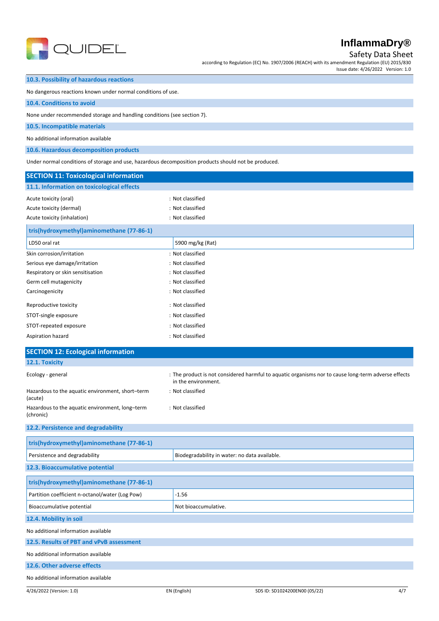

Safety Data Sheet

according to Regulation (EC) No. 1907/2006 (REACH) with its amendment Regulation (EU) 2015/830 Issue date: 4/26/2022 Version: 1.0

### **10.3. Possibility of hazardous reactions**

No dangerous reactions known under normal conditions of use.

### **10.4. Conditions to avoid**

None under recommended storage and handling conditions (see section 7).

### **10.5. Incompatible materials**

No additional information available

**10.6. Hazardous decomposition products**

Under normal conditions of storage and use, hazardous decomposition products should not be produced.

| <b>SECTION 11: Toxicological information</b>                 |                                                                                                                            |
|--------------------------------------------------------------|----------------------------------------------------------------------------------------------------------------------------|
| 11.1. Information on toxicological effects                   |                                                                                                                            |
| Acute toxicity (oral)                                        | : Not classified                                                                                                           |
| Acute toxicity (dermal)                                      | : Not classified                                                                                                           |
| Acute toxicity (inhalation)                                  | : Not classified                                                                                                           |
| tris(hydroxymethyl)aminomethane (77-86-1)                    |                                                                                                                            |
| LD50 oral rat                                                | 5900 mg/kg (Rat)                                                                                                           |
| Skin corrosion/irritation                                    | : Not classified                                                                                                           |
| Serious eye damage/irritation                                | : Not classified                                                                                                           |
| Respiratory or skin sensitisation                            | : Not classified                                                                                                           |
| Germ cell mutagenicity                                       | : Not classified                                                                                                           |
| Carcinogenicity                                              | : Not classified                                                                                                           |
| Reproductive toxicity                                        | : Not classified                                                                                                           |
| STOT-single exposure                                         | : Not classified                                                                                                           |
| STOT-repeated exposure                                       | : Not classified                                                                                                           |
| Aspiration hazard                                            | : Not classified                                                                                                           |
| <b>SECTION 12: Ecological information</b>                    |                                                                                                                            |
| 12.1. Toxicity                                               |                                                                                                                            |
| Ecology - general                                            | : The product is not considered harmful to aquatic organisms nor to cause long-term adverse effects<br>in the environment. |
| Hazardous to the aquatic environment, short-term<br>(acute)  | : Not classified                                                                                                           |
| Hazardous to the aquatic environment, long-term<br>(chronic) | : Not classified                                                                                                           |
| 12.2. Persistence and degradability                          |                                                                                                                            |
| tris(hydroxymethyl)aminomethane (77-86-1)                    |                                                                                                                            |
| Persistence and degradability                                | Biodegradability in water: no data available.                                                                              |
| 12.3. Bioaccumulative potential                              |                                                                                                                            |
| tris(hydroxymethyl)aminomethane (77-86-1)                    |                                                                                                                            |
| Partition coefficient n-octanol/water (Log Pow)              | $-1.56$                                                                                                                    |
| Bioaccumulative potential                                    | Not bioaccumulative.                                                                                                       |
| 12.4. Mobility in soil                                       |                                                                                                                            |
| No additional information available                          |                                                                                                                            |

## **12.5. Results of PBT and vPvB assessment**

No additional information available

### **12.6. Other adverse effects**

No additional information available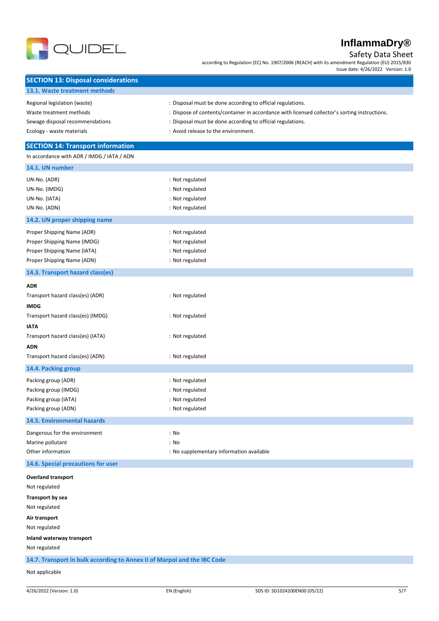

Safety Data Sheet

according to Regulation (EC) No. 1907/2006 (REACH) with its amendment Regulation (EU) 2015/830 Issue date: 4/26/2022 Version: 1.0

| <b>SECTION 13: Disposal considerations</b>                               |                                                                                               |
|--------------------------------------------------------------------------|-----------------------------------------------------------------------------------------------|
| 13.1. Waste treatment methods                                            |                                                                                               |
| Regional legislation (waste)                                             | : Disposal must be done according to official regulations.                                    |
| Waste treatment methods                                                  | : Dispose of contents/container in accordance with licensed collector's sorting instructions. |
| Sewage disposal recommendations                                          | : Disposal must be done according to official regulations.                                    |
| Ecology - waste materials                                                | : Avoid release to the environment.                                                           |
|                                                                          |                                                                                               |
| <b>SECTION 14: Transport information</b>                                 |                                                                                               |
| In accordance with ADR / IMDG / IATA / ADN                               |                                                                                               |
| 14.1. UN number                                                          |                                                                                               |
| UN-No. (ADR)                                                             | : Not regulated                                                                               |
| UN-No. (IMDG)                                                            | : Not regulated                                                                               |
| UN-No. (IATA)                                                            | : Not regulated                                                                               |
| UN-No. (ADN)                                                             | : Not regulated                                                                               |
| 14.2. UN proper shipping name                                            |                                                                                               |
| Proper Shipping Name (ADR)                                               | : Not regulated                                                                               |
| Proper Shipping Name (IMDG)                                              | : Not regulated                                                                               |
| Proper Shipping Name (IATA)                                              | : Not regulated                                                                               |
| Proper Shipping Name (ADN)                                               | : Not regulated                                                                               |
| 14.3. Transport hazard class(es)                                         |                                                                                               |
| <b>ADR</b>                                                               |                                                                                               |
| Transport hazard class(es) (ADR)                                         | : Not regulated                                                                               |
| <b>IMDG</b>                                                              |                                                                                               |
| Transport hazard class(es) (IMDG)                                        | : Not regulated                                                                               |
| <b>IATA</b>                                                              |                                                                                               |
| Transport hazard class(es) (IATA)                                        | : Not regulated                                                                               |
| <b>ADN</b>                                                               |                                                                                               |
| Transport hazard class(es) (ADN)                                         | : Not regulated                                                                               |
| 14.4. Packing group                                                      |                                                                                               |
| Packing group (ADR)                                                      | : Not regulated                                                                               |
| Packing group (IMDG)                                                     | : Not regulated                                                                               |
| Packing group (IATA)                                                     | : Not regulated                                                                               |
| Packing group (ADN)                                                      | : Not regulated                                                                               |
| 14.5. Environmental hazards                                              |                                                                                               |
|                                                                          |                                                                                               |
| Dangerous for the environment                                            | : No                                                                                          |
| Marine pollutant<br>Other information                                    | : No<br>: No supplementary information available                                              |
|                                                                          |                                                                                               |
| 14.6. Special precautions for user                                       |                                                                                               |
| <b>Overland transport</b>                                                |                                                                                               |
| Not regulated                                                            |                                                                                               |
| Transport by sea                                                         |                                                                                               |
| Not regulated                                                            |                                                                                               |
| Air transport                                                            |                                                                                               |
| Not regulated                                                            |                                                                                               |
| Inland waterway transport                                                |                                                                                               |
| Not regulated                                                            |                                                                                               |
| 14.7. Transport in bulk according to Annex II of Marpol and the IBC Code |                                                                                               |
| Not applicable                                                           |                                                                                               |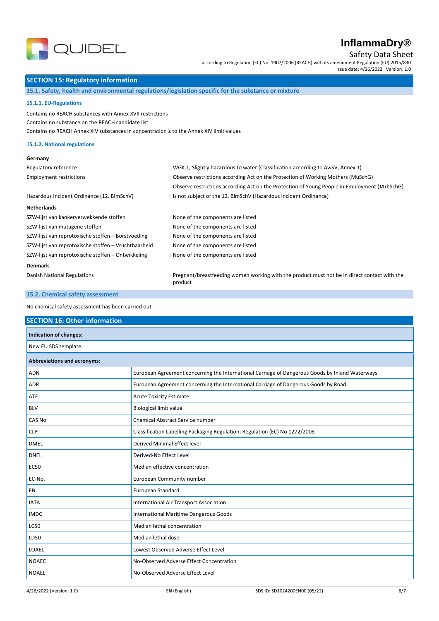

Safety Data Sheet

according to Regulation (EC) No. 1907/2006 (REACH) with its amendment Regulation (EU) 2015/830 Issue date: 4/26/2022 Version: 1.0

### **SECTION 15: Regulatory information**

**15.1. Safety, health and environmental regulations/legislation specific for the substance or mixture**

#### **15.1.1. EU-Regulations**

Contains no REACH substances with Annex XVII restrictions Contains no substance on the REACH candidate list Contains no REACH Annex XIV substances in concentration ≥ to the Annex XIV limit values

### **15.1.2. National regulations**

### **Germany**

| Regulatory reference                                 | : WGK 1, Slightly hazardous to water (Classification according to AwSV, Annex 1)                          |  |
|------------------------------------------------------|-----------------------------------------------------------------------------------------------------------|--|
| <b>Employment restrictions</b>                       | : Observe restrictions according Act on the Protection of Working Mothers (MuSchG)                        |  |
|                                                      | Observe restrictions according Act on the Protection of Young People in Employment (JArbSchG)             |  |
| Hazardous Incident Ordinance (12. BImSchV)           | : Is not subject of the 12. BlmSchV (Hazardous Incident Ordinance)                                        |  |
| <b>Netherlands</b>                                   |                                                                                                           |  |
| SZW-lijst van kankerverwekkende stoffen              | : None of the components are listed                                                                       |  |
| SZW-lijst van mutagene stoffen                       | : None of the components are listed                                                                       |  |
| SZW-lijst van reprotoxische stoffen - Borstvoeding   | : None of the components are listed                                                                       |  |
| SZW-lijst van reprotoxische stoffen - Vruchtbaarheid | : None of the components are listed                                                                       |  |
| SZW-lijst van reprotoxische stoffen - Ontwikkeling   | : None of the components are listed                                                                       |  |
| <b>Denmark</b>                                       |                                                                                                           |  |
| Danish National Regulations                          | : Pregnant/breastfeeding women working with the product must not be in direct contact with the<br>product |  |

### **15.2. Chemical safety assessment**

No chemical safety assessment has been carried out

#### **SECTION 16: Other information**

| <b>Indication of changes:</b> |                                                                                                 |  |
|-------------------------------|-------------------------------------------------------------------------------------------------|--|
| New EU SDS template.          |                                                                                                 |  |
| Abbreviations and acronyms:   |                                                                                                 |  |
| ADN                           | European Agreement concerning the International Carriage of Dangerous Goods by Inland Waterways |  |
| <b>ADR</b>                    | European Agreement concerning the International Carriage of Dangerous Goods by Road             |  |
| ATE                           | <b>Acute Toxicity Estimate</b>                                                                  |  |
| <b>BLV</b>                    | <b>Biological limit value</b>                                                                   |  |
| CAS No                        | Chemical Abstract Service number                                                                |  |
| <b>CLP</b>                    | Classification Labelling Packaging Regulation; Regulation (EC) No 1272/2008                     |  |
| <b>DMEL</b>                   | <b>Derived Minimal Effect level</b>                                                             |  |
| <b>DNEL</b>                   | Derived-No Effect Level                                                                         |  |
| <b>EC50</b>                   | Median effective concentration                                                                  |  |
| EC-No.                        | European Community number                                                                       |  |
| <b>EN</b>                     | European Standard                                                                               |  |
| <b>IATA</b>                   | International Air Transport Association                                                         |  |
| <b>IMDG</b>                   | International Maritime Dangerous Goods                                                          |  |
| <b>LC50</b>                   | Median lethal concentration                                                                     |  |
| LD50                          | Median lethal dose                                                                              |  |
| LOAEL                         | Lowest Observed Adverse Effect Level                                                            |  |
| <b>NOAEC</b>                  | No-Observed Adverse Effect Concentration                                                        |  |
| <b>NOAEL</b>                  | No-Observed Adverse Effect Level                                                                |  |